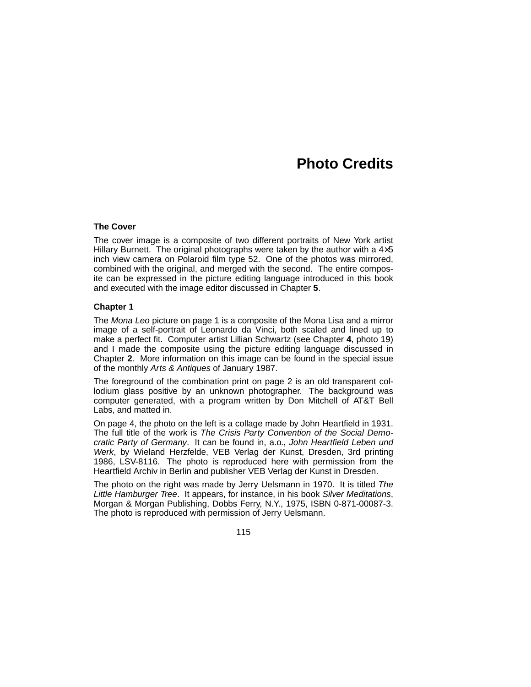# **Photo Credits**

#### **The Cover**

The cover image is a composite of two different portraits of New York artist Hillary Burnett. The original photographs were taken by the author with a  $4\times5$ inch view camera on Polaroid film type 52. One of the photos was mirrored, combined with the original, and merged with the second. The entire composite can be expressed in the picture editing language introduced in this book and executed with the image editor discussed in Chapter **5**.

#### **Chapter 1**

The Mona Leo picture on page 1 is a composite of the Mona Lisa and a mirror image of a self-portrait of Leonardo da Vinci, both scaled and lined up to make a perfect fit. Computer artist Lillian Schwartz (see Chapter 4, photo 19) and I made the composite using the picture editing language discussed in Chapter 2. More information on this image can be found in the special issue of the monthly Arts & Antiques of January 1987.

The foreground of the combination print on page 2 is an old transparent collodium glass positive by an unknown photographer. The background was computer generated, with a program written by Don Mitchell of AT&T Bell Labs, and matted in.

On page 4, the photo on the left is a collage made by John Heartfield in 1931. The full title of the work is The Crisis Party Convention of the Social Democratic Party of Germany. It can be found in, a.o., John Heartfield Leben und Werk, by Wieland Herzfelde, VEB Verlag der Kunst, Dresden, 3rd printing 1986, LSV-8116. The photo is reproduced here with permission from the Heartfield Archiv in Berlin and publisher VEB Verlag der Kunst in Dresden.

The photo on the right was made by Jerry Uelsmann in 1970. It is titled The Little Hamburger Tree. It appears, for instance, in his book Silver Meditations, Morgan & Morgan Publishing, Dobbs Ferry, N.Y., 1975, ISBN 0-871-00087-3. The photo is reproduced with permission of Jerry Uelsmann.

115